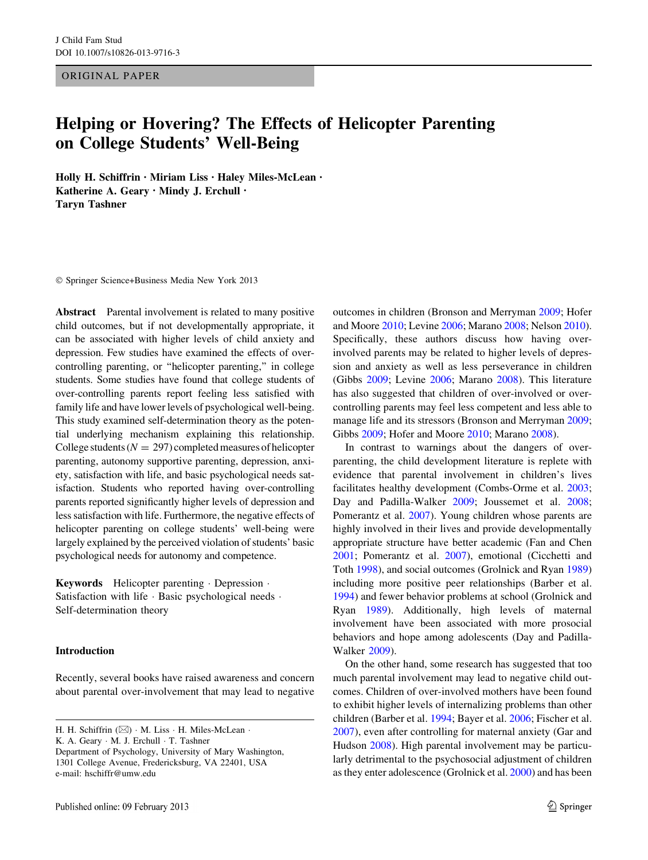ORIGINAL PAPER

# Helping or Hovering? The Effects of Helicopter Parenting on College Students' Well-Being

Holly H. Schiffrin • Miriam Liss • Haley Miles-McLean • Katherine A. Geary • Mindy J. Erchull • Taryn Tashner

- Springer Science+Business Media New York 2013

Abstract Parental involvement is related to many positive child outcomes, but if not developmentally appropriate, it can be associated with higher levels of child anxiety and depression. Few studies have examined the effects of overcontrolling parenting, or ''helicopter parenting,'' in college students. Some studies have found that college students of over-controlling parents report feeling less satisfied with family life and have lower levels of psychological well-being. This study examined self-determination theory as the potential underlying mechanism explaining this relationship. College students ( $N = 297$ ) completed measures of helicopter parenting, autonomy supportive parenting, depression, anxiety, satisfaction with life, and basic psychological needs satisfaction. Students who reported having over-controlling parents reported significantly higher levels of depression and less satisfaction with life. Furthermore, the negative effects of helicopter parenting on college students' well-being were largely explained by the perceived violation of students' basic psychological needs for autonomy and competence.

Keywords Helicopter parenting - Depression - Satisfaction with life · Basic psychological needs · Self-determination theory

### Introduction

Recently, several books have raised awareness and concern about parental over-involvement that may lead to negative

K. A. Geary · M. J. Erchull · T. Tashner

Department of Psychology, University of Mary Washington, 1301 College Avenue, Fredericksburg, VA 22401, USA e-mail: hschiffr@umw.edu

outcomes in children (Bronson and Merryman [2009](#page-8-0); Hofer and Moore [2010](#page-8-0); Levine [2006;](#page-8-0) Marano [2008](#page-8-0); Nelson [2010](#page-8-0)). Specifically, these authors discuss how having overinvolved parents may be related to higher levels of depression and anxiety as well as less perseverance in children (Gibbs [2009](#page-8-0); Levine [2006](#page-8-0); Marano [2008\)](#page-8-0). This literature has also suggested that children of over-involved or overcontrolling parents may feel less competent and less able to manage life and its stressors (Bronson and Merryman [2009](#page-8-0); Gibbs [2009](#page-8-0); Hofer and Moore [2010;](#page-8-0) Marano [2008](#page-8-0)).

In contrast to warnings about the dangers of overparenting, the child development literature is replete with evidence that parental involvement in children's lives facilitates healthy development (Combs-Orme et al. [2003](#page-8-0); Day and Padilla-Walker [2009](#page-8-0); Joussemet et al. [2008](#page-8-0); Pomerantz et al. [2007\)](#page-8-0). Young children whose parents are highly involved in their lives and provide developmentally appropriate structure have better academic (Fan and Chen [2001](#page-8-0); Pomerantz et al. [2007](#page-8-0)), emotional (Cicchetti and Toth [1998](#page-8-0)), and social outcomes (Grolnick and Ryan [1989\)](#page-8-0) including more positive peer relationships (Barber et al. [1994](#page-8-0)) and fewer behavior problems at school (Grolnick and Ryan [1989](#page-8-0)). Additionally, high levels of maternal involvement have been associated with more prosocial behaviors and hope among adolescents (Day and Padilla-Walker [2009\)](#page-8-0).

On the other hand, some research has suggested that too much parental involvement may lead to negative child outcomes. Children of over-involved mothers have been found to exhibit higher levels of internalizing problems than other children (Barber et al. [1994;](#page-8-0) Bayer et al. [2006](#page-8-0); Fischer et al. [2007](#page-8-0)), even after controlling for maternal anxiety (Gar and Hudson [2008](#page-8-0)). High parental involvement may be particularly detrimental to the psychosocial adjustment of children as they enter adolescence (Grolnick et al. [2000\)](#page-8-0) and has been

H. H. Schiffrin (⊠) · M. Liss · H. Miles-McLean ·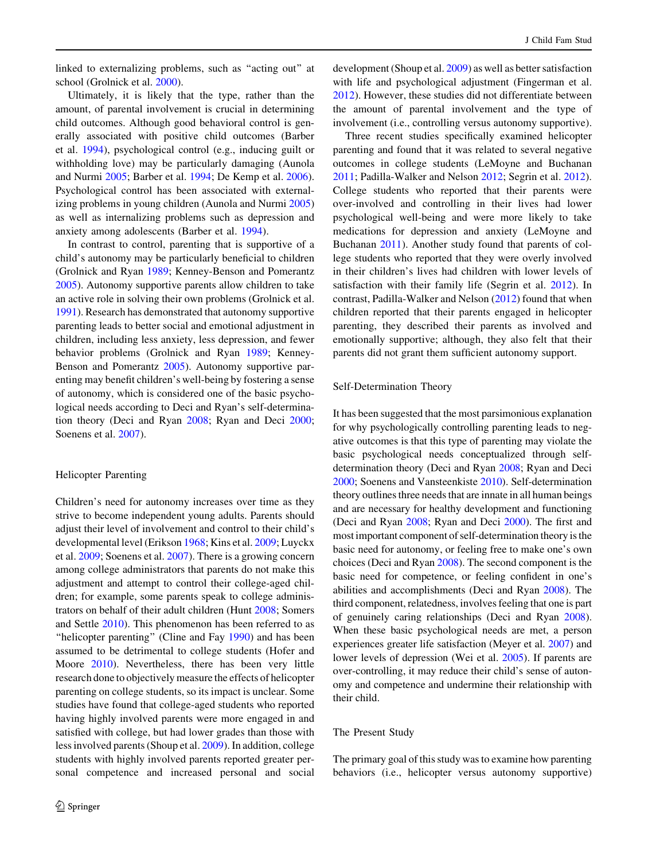linked to externalizing problems, such as "acting out" at school (Grolnick et al. [2000\)](#page-8-0).

Ultimately, it is likely that the type, rather than the amount, of parental involvement is crucial in determining child outcomes. Although good behavioral control is generally associated with positive child outcomes (Barber et al. [1994](#page-8-0)), psychological control (e.g., inducing guilt or withholding love) may be particularly damaging (Aunola and Nurmi [2005;](#page-8-0) Barber et al. [1994](#page-8-0); De Kemp et al. [2006](#page-8-0)). Psychological control has been associated with externalizing problems in young children (Aunola and Nurmi [2005\)](#page-8-0) as well as internalizing problems such as depression and anxiety among adolescents (Barber et al. [1994](#page-8-0)).

In contrast to control, parenting that is supportive of a child's autonomy may be particularly beneficial to children (Grolnick and Ryan [1989](#page-8-0); Kenney-Benson and Pomerantz [2005\)](#page-8-0). Autonomy supportive parents allow children to take an active role in solving their own problems (Grolnick et al. [1991\)](#page-8-0). Research has demonstrated that autonomy supportive parenting leads to better social and emotional adjustment in children, including less anxiety, less depression, and fewer behavior problems (Grolnick and Ryan [1989](#page-8-0); Kenney-Benson and Pomerantz [2005](#page-8-0)). Autonomy supportive parenting may benefit children's well-being by fostering a sense of autonomy, which is considered one of the basic psychological needs according to Deci and Ryan's self-determination theory (Deci and Ryan [2008;](#page-8-0) Ryan and Deci [2000](#page-9-0); Soenens et al. [2007\)](#page-9-0).

### Helicopter Parenting

Children's need for autonomy increases over time as they strive to become independent young adults. Parents should adjust their level of involvement and control to their child's developmental level (Erikson [1968;](#page-8-0) Kins et al. [2009](#page-8-0); Luyckx et al. [2009](#page-8-0); Soenens et al. [2007](#page-9-0)). There is a growing concern among college administrators that parents do not make this adjustment and attempt to control their college-aged children; for example, some parents speak to college administrators on behalf of their adult children (Hunt [2008;](#page-8-0) Somers and Settle [2010\)](#page-9-0). This phenomenon has been referred to as "helicopter parenting" (Cline and Fay [1990\)](#page-8-0) and has been assumed to be detrimental to college students (Hofer and Moore [2010\)](#page-8-0). Nevertheless, there has been very little research done to objectively measure the effects of helicopter parenting on college students, so its impact is unclear. Some studies have found that college-aged students who reported having highly involved parents were more engaged in and satisfied with college, but had lower grades than those with less involved parents (Shoup et al. [2009\)](#page-9-0). In addition, college students with highly involved parents reported greater personal competence and increased personal and social development (Shoup et al. [2009](#page-9-0)) as well as better satisfaction with life and psychological adjustment (Fingerman et al. [2012](#page-8-0)). However, these studies did not differentiate between the amount of parental involvement and the type of involvement (i.e., controlling versus autonomy supportive).

Three recent studies specifically examined helicopter parenting and found that it was related to several negative outcomes in college students (LeMoyne and Buchanan [2011](#page-8-0); Padilla-Walker and Nelson [2012](#page-8-0); Segrin et al. [2012](#page-9-0)). College students who reported that their parents were over-involved and controlling in their lives had lower psychological well-being and were more likely to take medications for depression and anxiety (LeMoyne and Buchanan [2011](#page-8-0)). Another study found that parents of college students who reported that they were overly involved in their children's lives had children with lower levels of satisfaction with their family life (Segrin et al. [2012](#page-9-0)). In contrast, Padilla-Walker and Nelson [\(2012](#page-8-0)) found that when children reported that their parents engaged in helicopter parenting, they described their parents as involved and emotionally supportive; although, they also felt that their parents did not grant them sufficient autonomy support.

# Self-Determination Theory

It has been suggested that the most parsimonious explanation for why psychologically controlling parenting leads to negative outcomes is that this type of parenting may violate the basic psychological needs conceptualized through selfdetermination theory (Deci and Ryan [2008](#page-8-0); Ryan and Deci [2000;](#page-9-0) Soenens and Vansteenkiste [2010\)](#page-9-0). Self-determination theory outlines three needs that are innate in all human beings and are necessary for healthy development and functioning (Deci and Ryan [2008](#page-8-0); Ryan and Deci [2000](#page-9-0)). The first and most important component of self-determination theory is the basic need for autonomy, or feeling free to make one's own choices (Deci and Ryan [2008\)](#page-8-0). The second component is the basic need for competence, or feeling confident in one's abilities and accomplishments (Deci and Ryan [2008](#page-8-0)). The third component, relatedness, involves feeling that one is part of genuinely caring relationships (Deci and Ryan [2008](#page-8-0)). When these basic psychological needs are met, a person experiences greater life satisfaction (Meyer et al. [2007\)](#page-8-0) and lower levels of depression (Wei et al. [2005](#page-9-0)). If parents are over-controlling, it may reduce their child's sense of autonomy and competence and undermine their relationship with their child.

#### The Present Study

The primary goal of this study was to examine how parenting behaviors (i.e., helicopter versus autonomy supportive)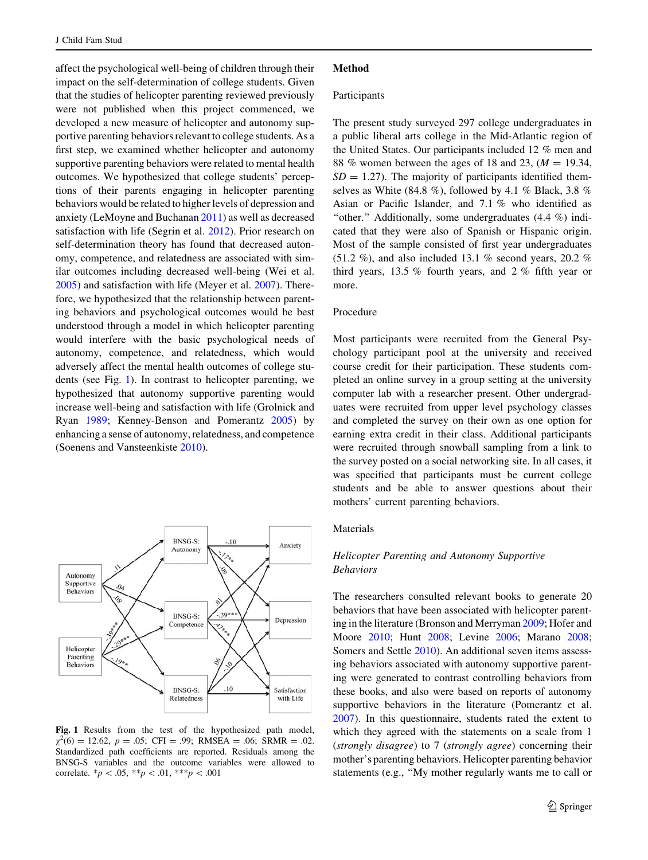<span id="page-2-0"></span>affect the psychological well-being of children through their impact on the self-determination of college students. Given that the studies of helicopter parenting reviewed previously were not published when this project commenced, we developed a new measure of helicopter and autonomy supportive parenting behaviors relevant to college students. As a first step, we examined whether helicopter and autonomy supportive parenting behaviors were related to mental health outcomes. We hypothesized that college students' perceptions of their parents engaging in helicopter parenting behaviors would be related to higher levels of depression and anxiety (LeMoyne and Buchanan [2011\)](#page-8-0) as well as decreased satisfaction with life (Segrin et al. [2012](#page-9-0)). Prior research on self-determination theory has found that decreased autonomy, competence, and relatedness are associated with similar outcomes including decreased well-being (Wei et al. [2005\)](#page-9-0) and satisfaction with life (Meyer et al. [2007\)](#page-8-0). Therefore, we hypothesized that the relationship between parenting behaviors and psychological outcomes would be best understood through a model in which helicopter parenting would interfere with the basic psychological needs of autonomy, competence, and relatedness, which would adversely affect the mental health outcomes of college students (see Fig. 1). In contrast to helicopter parenting, we hypothesized that autonomy supportive parenting would increase well-being and satisfaction with life (Grolnick and Ryan [1989;](#page-8-0) Kenney-Benson and Pomerantz [2005](#page-8-0)) by enhancing a sense of autonomy, relatedness, and competence (Soenens and Vansteenkiste [2010\)](#page-9-0).



Fig. 1 Results from the test of the hypothesized path model,  $\chi^2(6) = 12.62, p = .05; CFI = .99; RMSEA = .06; SRMR = .02.$ Standardized path coefficients are reported. Residuals among the BNSG-S variables and the outcome variables were allowed to correlate.  $*_{p}$  < .05,  $*_{p}$  < .01,  $*_{p}$ , < .001

### Method

#### Participants

The present study surveyed 297 college undergraduates in a public liberal arts college in the Mid-Atlantic region of the United States. Our participants included 12 % men and 88 % women between the ages of 18 and 23,  $(M = 19.34,$  $SD = 1.27$ . The majority of participants identified themselves as White (84.8 %), followed by 4.1 % Black, 3.8 % Asian or Pacific Islander, and 7.1 % who identified as "other." Additionally, some undergraduates (4.4 %) indicated that they were also of Spanish or Hispanic origin. Most of the sample consisted of first year undergraduates  $(51.2 \%)$ , and also included 13.1 % second years, 20.2 % third years, 13.5 % fourth years, and 2 % fifth year or more.

#### Procedure

Most participants were recruited from the General Psychology participant pool at the university and received course credit for their participation. These students completed an online survey in a group setting at the university computer lab with a researcher present. Other undergraduates were recruited from upper level psychology classes and completed the survey on their own as one option for earning extra credit in their class. Additional participants were recruited through snowball sampling from a link to the survey posted on a social networking site. In all cases, it was specified that participants must be current college students and be able to answer questions about their mothers' current parenting behaviors.

### Materials

# Helicopter Parenting and Autonomy Supportive Behaviors

The researchers consulted relevant books to generate 20 behaviors that have been associated with helicopter parenting in the literature (Bronson and Merryman [2009](#page-8-0); Hofer and Moore [2010;](#page-8-0) Hunt [2008](#page-8-0); Levine [2006;](#page-8-0) Marano [2008](#page-8-0); Somers and Settle [2010](#page-9-0)). An additional seven items assessing behaviors associated with autonomy supportive parenting were generated to contrast controlling behaviors from these books, and also were based on reports of autonomy supportive behaviors in the literature (Pomerantz et al. [2007](#page-8-0)). In this questionnaire, students rated the extent to which they agreed with the statements on a scale from 1 (strongly disagree) to 7 (strongly agree) concerning their mother's parenting behaviors. Helicopter parenting behavior statements (e.g., ''My mother regularly wants me to call or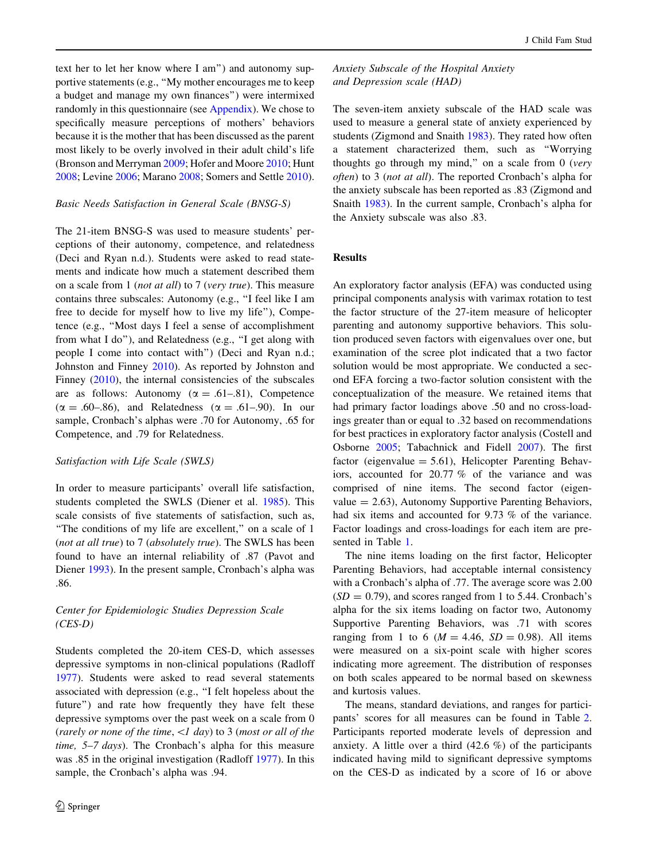text her to let her know where I am'') and autonomy supportive statements (e.g., ''My mother encourages me to keep a budget and manage my own finances'') were intermixed randomly in this questionnaire (see [Appendix](#page-7-0)). We chose to specifically measure perceptions of mothers' behaviors because it is the mother that has been discussed as the parent most likely to be overly involved in their adult child's life (Bronson and Merryman [2009](#page-8-0); Hofer and Moore [2010;](#page-8-0) Hunt [2008;](#page-8-0) Levine [2006](#page-8-0); Marano [2008](#page-8-0); Somers and Settle [2010](#page-9-0)).

### Basic Needs Satisfaction in General Scale (BNSG-S)

The 21-item BNSG-S was used to measure students' perceptions of their autonomy, competence, and relatedness (Deci and Ryan n.d.). Students were asked to read statements and indicate how much a statement described them on a scale from 1 (not at all) to 7 (very true). This measure contains three subscales: Autonomy (e.g., ''I feel like I am free to decide for myself how to live my life''), Competence (e.g., ''Most days I feel a sense of accomplishment from what I do''), and Relatedness (e.g., ''I get along with people I come into contact with'') (Deci and Ryan n.d.; Johnston and Finney [2010](#page-8-0)). As reported by Johnston and Finney ([2010\)](#page-8-0), the internal consistencies of the subscales are as follows: Autonomy ( $\alpha = .61-.81$ ), Competence  $(\alpha = .60-.86)$ , and Relatedness  $(\alpha = .61-.90)$ . In our sample, Cronbach's alphas were .70 for Autonomy, .65 for Competence, and .79 for Relatedness.

### Satisfaction with Life Scale (SWLS)

In order to measure participants' overall life satisfaction, students completed the SWLS (Diener et al. [1985](#page-8-0)). This scale consists of five statements of satisfaction, such as, "The conditions of my life are excellent," on a scale of 1 (not at all true) to 7 (absolutely true). The SWLS has been found to have an internal reliability of .87 (Pavot and Diener [1993\)](#page-8-0). In the present sample, Cronbach's alpha was .86.

# Center for Epidemiologic Studies Depression Scale (CES-D)

Students completed the 20-item CES-D, which assesses depressive symptoms in non-clinical populations (Radloff [1977\)](#page-8-0). Students were asked to read several statements associated with depression (e.g., ''I felt hopeless about the future'') and rate how frequently they have felt these depressive symptoms over the past week on a scale from 0 (rarely or none of the time,  $\langle 1 \rangle$  day) to 3 (most or all of the time, 5–7 days). The Cronbach's alpha for this measure was .85 in the original investigation (Radloff [1977](#page-8-0)). In this sample, the Cronbach's alpha was .94.

Anxiety Subscale of the Hospital Anxiety and Depression scale (HAD)

The seven-item anxiety subscale of the HAD scale was used to measure a general state of anxiety experienced by students (Zigmond and Snaith [1983](#page-9-0)). They rated how often a statement characterized them, such as ''Worrying thoughts go through my mind,'' on a scale from 0 (very often) to 3 (not at all). The reported Cronbach's alpha for the anxiety subscale has been reported as .83 (Zigmond and Snaith [1983](#page-9-0)). In the current sample, Cronbach's alpha for the Anxiety subscale was also .83.

# Results

An exploratory factor analysis (EFA) was conducted using principal components analysis with varimax rotation to test the factor structure of the 27-item measure of helicopter parenting and autonomy supportive behaviors. This solution produced seven factors with eigenvalues over one, but examination of the scree plot indicated that a two factor solution would be most appropriate. We conducted a second EFA forcing a two-factor solution consistent with the conceptualization of the measure. We retained items that had primary factor loadings above .50 and no cross-loadings greater than or equal to .32 based on recommendations for best practices in exploratory factor analysis (Costell and Osborne [2005;](#page-8-0) Tabachnick and Fidell [2007\)](#page-9-0). The first factor (eigenvalue  $= 5.61$ ), Helicopter Parenting Behaviors, accounted for 20.77 % of the variance and was comprised of nine items. The second factor (eigenvalue  $= 2.63$ ), Autonomy Supportive Parenting Behaviors, had six items and accounted for 9.73 % of the variance. Factor loadings and cross-loadings for each item are presented in Table [1](#page-4-0).

The nine items loading on the first factor, Helicopter Parenting Behaviors, had acceptable internal consistency with a Cronbach's alpha of .77. The average score was 2.00  $(SD = 0.79)$ , and scores ranged from 1 to 5.44. Cronbach's alpha for the six items loading on factor two, Autonomy Supportive Parenting Behaviors, was .71 with scores ranging from 1 to 6 ( $M = 4.46$ ,  $SD = 0.98$ ). All items were measured on a six-point scale with higher scores indicating more agreement. The distribution of responses on both scales appeared to be normal based on skewness and kurtosis values.

The means, standard deviations, and ranges for participants' scores for all measures can be found in Table [2.](#page-4-0) Participants reported moderate levels of depression and anxiety. A little over a third  $(42.6\%)$  of the participants indicated having mild to significant depressive symptoms on the CES-D as indicated by a score of 16 or above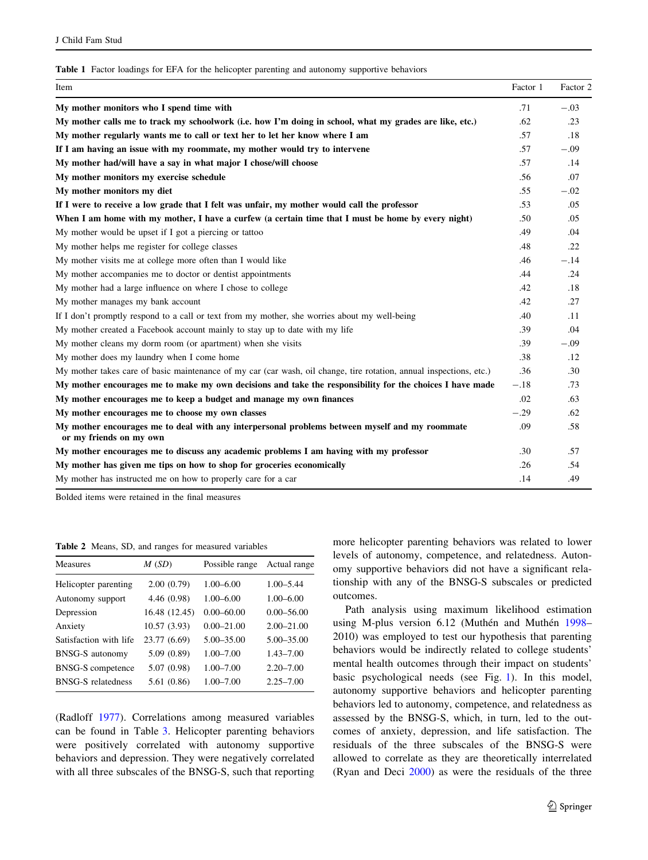### <span id="page-4-0"></span>Table 1 Factor loadings for EFA for the helicopter parenting and autonomy supportive behaviors

| Item                                                                                                                      | Factor 1 | Factor 2 |
|---------------------------------------------------------------------------------------------------------------------------|----------|----------|
| My mother monitors who I spend time with                                                                                  | .71      | $-.03$   |
| My mother calls me to track my schoolwork (i.e. how I'm doing in school, what my grades are like, etc.)                   | .62      | .23      |
| My mother regularly wants me to call or text her to let her know where I am                                               | .57      | .18      |
| If I am having an issue with my roommate, my mother would try to intervene                                                | .57      | $-.09$   |
| My mother had/will have a say in what major I chose/will choose                                                           | .57      | .14      |
| My mother monitors my exercise schedule                                                                                   | .56      | .07      |
| My mother monitors my diet                                                                                                | .55      | $-.02$   |
| If I were to receive a low grade that I felt was unfair, my mother would call the professor                               | .53      | .05      |
| When I am home with my mother, I have a curfew (a certain time that I must be home by every night)                        | .50      | .05      |
| My mother would be upset if I got a piercing or tattoo                                                                    | .49      | .04      |
| My mother helps me register for college classes                                                                           | .48      | .22      |
| My mother visits me at college more often than I would like                                                               | .46      | $-.14$   |
| My mother accompanies me to doctor or dentist appointments                                                                | .44      | .24      |
| My mother had a large influence on where I chose to college                                                               | .42      | .18      |
| My mother manages my bank account                                                                                         | .42      | .27      |
| If I don't promptly respond to a call or text from my mother, she worries about my well-being                             | .40      | .11      |
| My mother created a Facebook account mainly to stay up to date with my life                                               | .39      | .04      |
| My mother cleans my dorm room (or apartment) when she visits                                                              | .39      | $-.09$   |
| My mother does my laundry when I come home                                                                                | .38      | .12      |
| My mother takes care of basic maintenance of my car (car wash, oil change, tire rotation, annual inspections, etc.)       | .36      | .30      |
| My mother encourages me to make my own decisions and take the responsibility for the choices I have made                  | $-.18$   | .73      |
| My mother encourages me to keep a budget and manage my own finances                                                       | .02      | .63      |
| My mother encourages me to choose my own classes                                                                          | $-.29$   | .62      |
| My mother encourages me to deal with any interpersonal problems between myself and my roommate<br>or my friends on my own | .09      | .58      |
| My mother encourages me to discuss any academic problems I am having with my professor                                    | .30      | .57      |
| My mother has given me tips on how to shop for groceries economically                                                     | .26      | .54      |
| My mother has instructed me on how to properly care for a car                                                             | .14      | .49      |

Bolded items were retained in the final measures

Table 2 Means, SD, and ranges for measured variables

| <b>Measures</b>        | M(SD)         | Possible range | Actual range   |  |
|------------------------|---------------|----------------|----------------|--|
| Helicopter parenting   | 2.00(0.79)    | $1.00 - 6.00$  | $1.00 - 5.44$  |  |
| Autonomy support       | 4.46 (0.98)   | $1.00 - 6.00$  | $1.00 - 6.00$  |  |
| Depression             | 16.48 (12.45) | $0.00 - 60.00$ | $0.00 - 56.00$ |  |
| Anxiety                | 10.57 (3.93)  | $0.00 - 21.00$ | $2.00 - 21.00$ |  |
| Satisfaction with life | 23.77 (6.69)  | 5.00 - 35.00   | $5.00 - 35.00$ |  |
| BNSG-S autonomy        | 5.09 (0.89)   | $1.00 - 7.00$  | $1.43 - 7.00$  |  |
| BNSG-S competence      | 5.07 (0.98)   | $1.00 - 7.00$  | $2.20 - 7.00$  |  |
| BNSG-S relatedness     | 5.61(0.86)    | $1.00 - 7.00$  | $2.25 - 7.00$  |  |

(Radloff [1977](#page-8-0)). Correlations among measured variables can be found in Table [3](#page-5-0). Helicopter parenting behaviors were positively correlated with autonomy supportive behaviors and depression. They were negatively correlated with all three subscales of the BNSG-S, such that reporting more helicopter parenting behaviors was related to lower levels of autonomy, competence, and relatedness. Autonomy supportive behaviors did not have a significant relationship with any of the BNSG-S subscales or predicted outcomes.

Path analysis using maximum likelihood estimation using M-plus version 6.12 (Muthén and Muthén [1998](#page-8-0)– 2010) was employed to test our hypothesis that parenting behaviors would be indirectly related to college students' mental health outcomes through their impact on students' basic psychological needs (see Fig. [1\)](#page-2-0). In this model, autonomy supportive behaviors and helicopter parenting behaviors led to autonomy, competence, and relatedness as assessed by the BNSG-S, which, in turn, led to the outcomes of anxiety, depression, and life satisfaction. The residuals of the three subscales of the BNSG-S were allowed to correlate as they are theoretically interrelated (Ryan and Deci [2000](#page-9-0)) as were the residuals of the three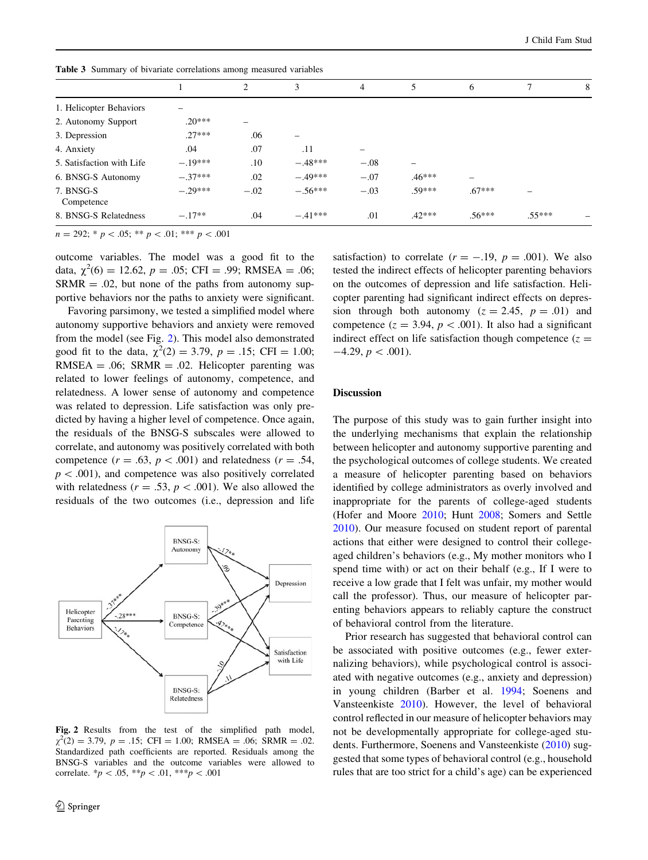|                           |           | $\mathfrak{D}$ | 3         | 4      | 5        | 6        | $\mathcal{I}$ | 8 |
|---------------------------|-----------|----------------|-----------|--------|----------|----------|---------------|---|
| 1. Helicopter Behaviors   |           |                |           |        |          |          |               |   |
| 2. Autonomy Support       | $20***$   | -              |           |        |          |          |               |   |
| 3. Depression             | $.27***$  | .06            |           |        |          |          |               |   |
| 4. Anxiety                | .04       | .07            | .11       |        |          |          |               |   |
| 5. Satisfaction with Life | $-.19***$ | $.10\,$        | $-.48***$ | $-.08$ |          |          |               |   |
| 6. BNSG-S Autonomy        | $-.37***$ | .02            | $-.49***$ | $-.07$ | $.46***$ |          |               |   |
| 7. BNSG-S<br>Competence   | $-.29***$ | $-.02$         | $-.56***$ | $-.03$ | .59***   | $.67***$ |               |   |
| 8. BNSG-S Relatedness     | $-.17**$  | .04            | $-.41***$ | .01    | $.42***$ | $.56***$ | $.55***$      |   |

<span id="page-5-0"></span>Table 3 Summary of bivariate correlations among measured variables

 $n = 292; * p < .05; ** p < .01; ** p < .001$ 

outcome variables. The model was a good fit to the data,  $\chi^2(6) = 12.62$ ,  $p = .05$ ; CFI = .99; RMSEA = .06;  $SRMR = .02$ , but none of the paths from autonomy supportive behaviors nor the paths to anxiety were significant.

Favoring parsimony, we tested a simplified model where autonomy supportive behaviors and anxiety were removed from the model (see Fig. 2). This model also demonstrated good fit to the data,  $\chi^2(2) = 3.79$ ,  $p = .15$ ; CFI = 1.00; RMSEA =  $.06$ ; SRMR =  $.02$ . Helicopter parenting was related to lower feelings of autonomy, competence, and relatedness. A lower sense of autonomy and competence was related to depression. Life satisfaction was only predicted by having a higher level of competence. Once again, the residuals of the BNSG-S subscales were allowed to correlate, and autonomy was positively correlated with both competence  $(r = .63, p < .001)$  and relatedness  $(r = .54,$  $p$  < .001), and competence was also positively correlated with relatedness ( $r = .53$ ,  $p < .001$ ). We also allowed the residuals of the two outcomes (i.e., depression and life



Fig. 2 Results from the test of the simplified path model,  $\chi^2(2) = 3.79$ ,  $p = .15$ ; CFI = 1.00; RMSEA = .06; SRMR = .02. Standardized path coefficients are reported. Residuals among the BNSG-S variables and the outcome variables were allowed to correlate.  $* p < 0.05, ** p < 0.01, ** p < 0.001$ 

satisfaction) to correlate  $(r = -.19, p = .001)$ . We also tested the indirect effects of helicopter parenting behaviors on the outcomes of depression and life satisfaction. Helicopter parenting had significant indirect effects on depression through both autonomy ( $z = 2.45$ ,  $p = .01$ ) and competence ( $z = 3.94$ ,  $p < .001$ ). It also had a significant indirect effect on life satisfaction though competence  $(z =$  $-4.29, p \lt .001$ .

# **Discussion**

The purpose of this study was to gain further insight into the underlying mechanisms that explain the relationship between helicopter and autonomy supportive parenting and the psychological outcomes of college students. We created a measure of helicopter parenting based on behaviors identified by college administrators as overly involved and inappropriate for the parents of college-aged students (Hofer and Moore [2010;](#page-8-0) Hunt [2008](#page-8-0); Somers and Settle [2010](#page-9-0)). Our measure focused on student report of parental actions that either were designed to control their collegeaged children's behaviors (e.g., My mother monitors who I spend time with) or act on their behalf (e.g., If I were to receive a low grade that I felt was unfair, my mother would call the professor). Thus, our measure of helicopter parenting behaviors appears to reliably capture the construct of behavioral control from the literature.

Prior research has suggested that behavioral control can be associated with positive outcomes (e.g., fewer externalizing behaviors), while psychological control is associated with negative outcomes (e.g., anxiety and depression) in young children (Barber et al. [1994](#page-8-0); Soenens and Vansteenkiste [2010](#page-9-0)). However, the level of behavioral control reflected in our measure of helicopter behaviors may not be developmentally appropriate for college-aged students. Furthermore, Soenens and Vansteenkiste [\(2010](#page-9-0)) suggested that some types of behavioral control (e.g., household rules that are too strict for a child's age) can be experienced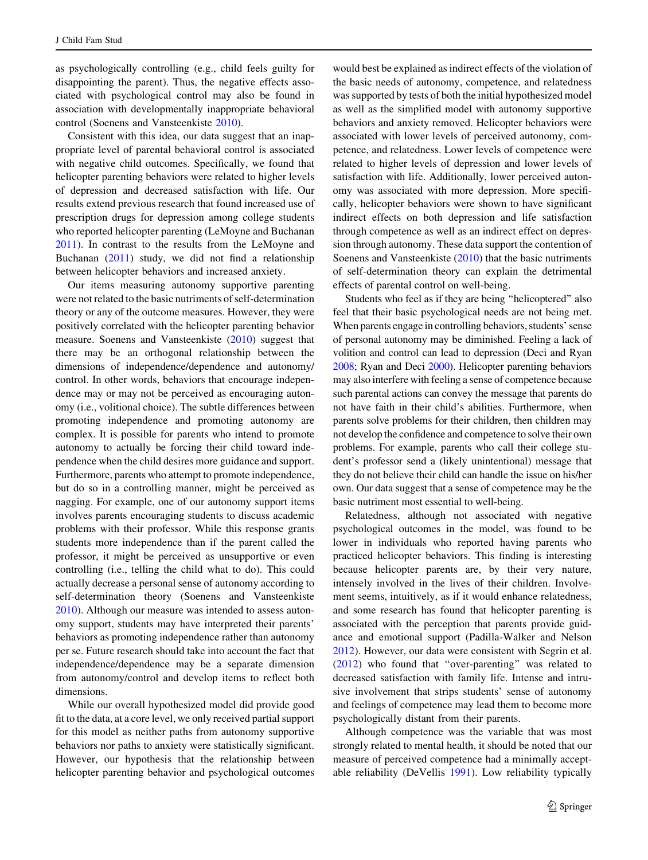as psychologically controlling (e.g., child feels guilty for disappointing the parent). Thus, the negative effects associated with psychological control may also be found in association with developmentally inappropriate behavioral control (Soenens and Vansteenkiste [2010](#page-9-0)).

Consistent with this idea, our data suggest that an inappropriate level of parental behavioral control is associated with negative child outcomes. Specifically, we found that helicopter parenting behaviors were related to higher levels of depression and decreased satisfaction with life. Our results extend previous research that found increased use of prescription drugs for depression among college students who reported helicopter parenting (LeMoyne and Buchanan [2011\)](#page-8-0). In contrast to the results from the LeMoyne and Buchanan ([2011\)](#page-8-0) study, we did not find a relationship between helicopter behaviors and increased anxiety.

Our items measuring autonomy supportive parenting were not related to the basic nutriments of self-determination theory or any of the outcome measures. However, they were positively correlated with the helicopter parenting behavior measure. Soenens and Vansteenkiste ([2010\)](#page-9-0) suggest that there may be an orthogonal relationship between the dimensions of independence/dependence and autonomy/ control. In other words, behaviors that encourage independence may or may not be perceived as encouraging autonomy (i.e., volitional choice). The subtle differences between promoting independence and promoting autonomy are complex. It is possible for parents who intend to promote autonomy to actually be forcing their child toward independence when the child desires more guidance and support. Furthermore, parents who attempt to promote independence, but do so in a controlling manner, might be perceived as nagging. For example, one of our autonomy support items involves parents encouraging students to discuss academic problems with their professor. While this response grants students more independence than if the parent called the professor, it might be perceived as unsupportive or even controlling (i.e., telling the child what to do). This could actually decrease a personal sense of autonomy according to self-determination theory (Soenens and Vansteenkiste [2010\)](#page-9-0). Although our measure was intended to assess autonomy support, students may have interpreted their parents' behaviors as promoting independence rather than autonomy per se. Future research should take into account the fact that independence/dependence may be a separate dimension from autonomy/control and develop items to reflect both dimensions.

While our overall hypothesized model did provide good fit to the data, at a core level, we only received partial support for this model as neither paths from autonomy supportive behaviors nor paths to anxiety were statistically significant. However, our hypothesis that the relationship between helicopter parenting behavior and psychological outcomes

would best be explained as indirect effects of the violation of the basic needs of autonomy, competence, and relatedness was supported by tests of both the initial hypothesized model as well as the simplified model with autonomy supportive behaviors and anxiety removed. Helicopter behaviors were associated with lower levels of perceived autonomy, competence, and relatedness. Lower levels of competence were related to higher levels of depression and lower levels of satisfaction with life. Additionally, lower perceived autonomy was associated with more depression. More specifically, helicopter behaviors were shown to have significant indirect effects on both depression and life satisfaction through competence as well as an indirect effect on depression through autonomy. These data support the contention of Soenens and Vansteenkiste ([2010\)](#page-9-0) that the basic nutriments of self-determination theory can explain the detrimental effects of parental control on well-being.

Students who feel as if they are being ''helicoptered'' also feel that their basic psychological needs are not being met. When parents engage in controlling behaviors, students' sense of personal autonomy may be diminished. Feeling a lack of volition and control can lead to depression (Deci and Ryan [2008;](#page-8-0) Ryan and Deci [2000](#page-9-0)). Helicopter parenting behaviors may also interfere with feeling a sense of competence because such parental actions can convey the message that parents do not have faith in their child's abilities. Furthermore, when parents solve problems for their children, then children may not develop the confidence and competence to solve their own problems. For example, parents who call their college student's professor send a (likely unintentional) message that they do not believe their child can handle the issue on his/her own. Our data suggest that a sense of competence may be the basic nutriment most essential to well-being.

Relatedness, although not associated with negative psychological outcomes in the model, was found to be lower in individuals who reported having parents who practiced helicopter behaviors. This finding is interesting because helicopter parents are, by their very nature, intensely involved in the lives of their children. Involvement seems, intuitively, as if it would enhance relatedness, and some research has found that helicopter parenting is associated with the perception that parents provide guidance and emotional support (Padilla-Walker and Nelson [2012](#page-8-0)). However, our data were consistent with Segrin et al. [\(2012](#page-9-0)) who found that ''over-parenting'' was related to decreased satisfaction with family life. Intense and intrusive involvement that strips students' sense of autonomy and feelings of competence may lead them to become more psychologically distant from their parents.

Although competence was the variable that was most strongly related to mental health, it should be noted that our measure of perceived competence had a minimally acceptable reliability (DeVellis [1991](#page-8-0)). Low reliability typically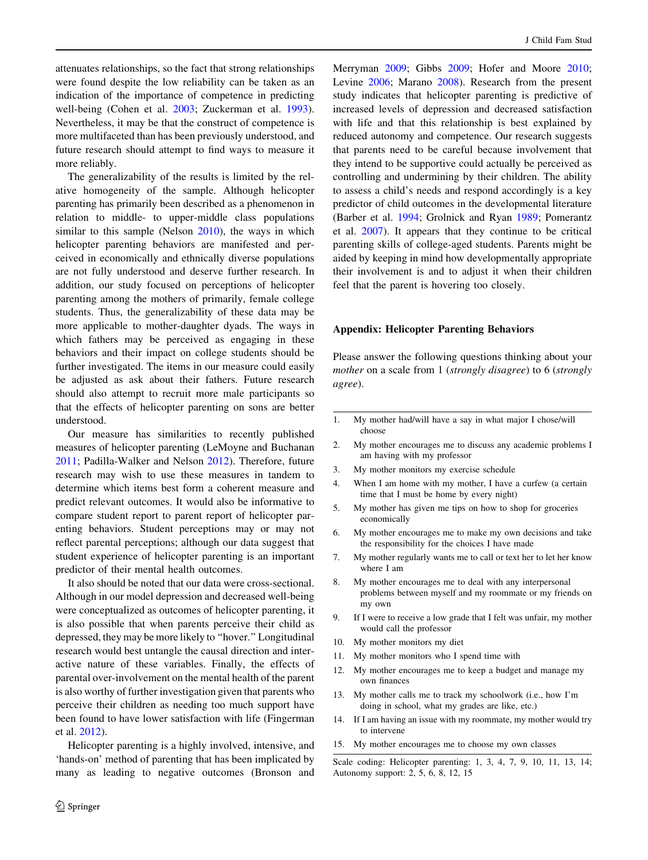<span id="page-7-0"></span>attenuates relationships, so the fact that strong relationships were found despite the low reliability can be taken as an indication of the importance of competence in predicting well-being (Cohen et al. [2003](#page-8-0); Zuckerman et al. [1993](#page-9-0)). Nevertheless, it may be that the construct of competence is more multifaceted than has been previously understood, and future research should attempt to find ways to measure it more reliably.

The generalizability of the results is limited by the relative homogeneity of the sample. Although helicopter parenting has primarily been described as a phenomenon in relation to middle- to upper-middle class populations similar to this sample (Nelson [2010\)](#page-8-0), the ways in which helicopter parenting behaviors are manifested and perceived in economically and ethnically diverse populations are not fully understood and deserve further research. In addition, our study focused on perceptions of helicopter parenting among the mothers of primarily, female college students. Thus, the generalizability of these data may be more applicable to mother-daughter dyads. The ways in which fathers may be perceived as engaging in these behaviors and their impact on college students should be further investigated. The items in our measure could easily be adjusted as ask about their fathers. Future research should also attempt to recruit more male participants so that the effects of helicopter parenting on sons are better understood.

Our measure has similarities to recently published measures of helicopter parenting (LeMoyne and Buchanan [2011;](#page-8-0) Padilla-Walker and Nelson [2012\)](#page-8-0). Therefore, future research may wish to use these measures in tandem to determine which items best form a coherent measure and predict relevant outcomes. It would also be informative to compare student report to parent report of helicopter parenting behaviors. Student perceptions may or may not reflect parental perceptions; although our data suggest that student experience of helicopter parenting is an important predictor of their mental health outcomes.

It also should be noted that our data were cross-sectional. Although in our model depression and decreased well-being were conceptualized as outcomes of helicopter parenting, it is also possible that when parents perceive their child as depressed, they may be more likely to ''hover.'' Longitudinal research would best untangle the causal direction and interactive nature of these variables. Finally, the effects of parental over-involvement on the mental health of the parent is also worthy of further investigation given that parents who perceive their children as needing too much support have been found to have lower satisfaction with life (Fingerman et al. [2012](#page-8-0)).

Helicopter parenting is a highly involved, intensive, and 'hands-on' method of parenting that has been implicated by many as leading to negative outcomes (Bronson and Merryman [2009;](#page-8-0) Gibbs [2009;](#page-8-0) Hofer and Moore [2010](#page-8-0); Levine [2006;](#page-8-0) Marano [2008](#page-8-0)). Research from the present study indicates that helicopter parenting is predictive of increased levels of depression and decreased satisfaction with life and that this relationship is best explained by reduced autonomy and competence. Our research suggests that parents need to be careful because involvement that they intend to be supportive could actually be perceived as controlling and undermining by their children. The ability to assess a child's needs and respond accordingly is a key predictor of child outcomes in the developmental literature (Barber et al. [1994](#page-8-0); Grolnick and Ryan [1989;](#page-8-0) Pomerantz et al. [2007](#page-8-0)). It appears that they continue to be critical parenting skills of college-aged students. Parents might be aided by keeping in mind how developmentally appropriate their involvement is and to adjust it when their children feel that the parent is hovering too closely.

# Appendix: Helicopter Parenting Behaviors

Please answer the following questions thinking about your mother on a scale from 1 (*strongly disagree*) to 6 (*strongly* agree).

- 1. My mother had/will have a say in what major I chose/will choose
- 2. My mother encourages me to discuss any academic problems I am having with my professor
- 3. My mother monitors my exercise schedule
- 4. When I am home with my mother, I have a curfew (a certain time that I must be home by every night)
- 5. My mother has given me tips on how to shop for groceries economically
- 6. My mother encourages me to make my own decisions and take the responsibility for the choices I have made
- 7. My mother regularly wants me to call or text her to let her know where I am
- 8. My mother encourages me to deal with any interpersonal problems between myself and my roommate or my friends on my own
- 9. If I were to receive a low grade that I felt was unfair, my mother would call the professor
- 10. My mother monitors my diet
- 11. My mother monitors who I spend time with
- 12. My mother encourages me to keep a budget and manage my own finances
- 13. My mother calls me to track my schoolwork (i.e., how I'm doing in school, what my grades are like, etc.)
- 14. If I am having an issue with my roommate, my mother would try to intervene
- 15. My mother encourages me to choose my own classes

Scale coding: Helicopter parenting: 1, 3, 4, 7, 9, 10, 11, 13, 14; Autonomy support: 2, 5, 6, 8, 12, 15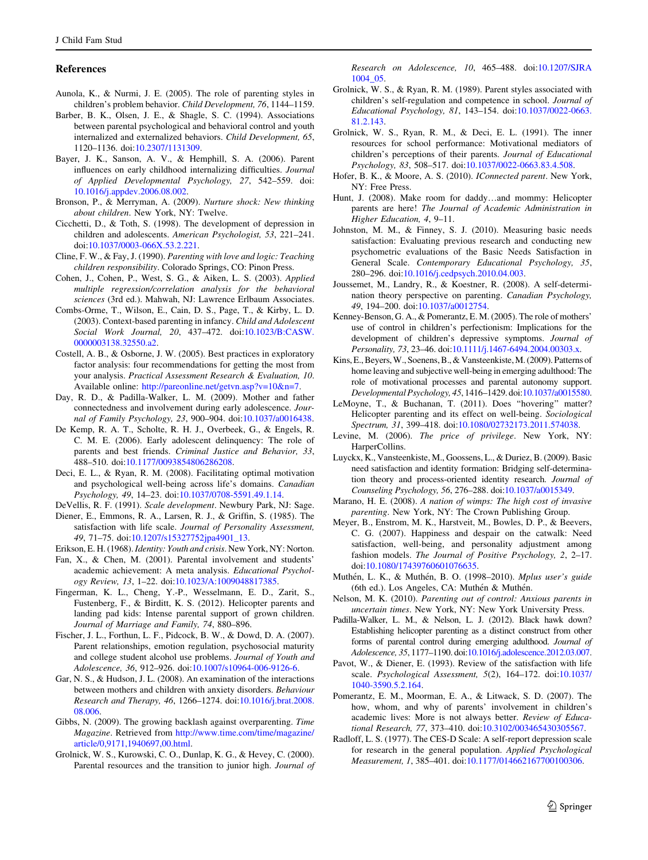### <span id="page-8-0"></span>References

- Aunola, K., & Nurmi, J. E. (2005). The role of parenting styles in children's problem behavior. Child Development, 76, 1144–1159.
- Barber, B. K., Olsen, J. E., & Shagle, S. C. (1994). Associations between parental psychological and behavioral control and youth internalized and externalized behaviors. Child Development, 65, 1120–1136. doi[:10.2307/1131309.](http://dx.doi.org/10.2307/1131309)
- Bayer, J. K., Sanson, A. V., & Hemphill, S. A. (2006). Parent influences on early childhood internalizing difficulties. Journal of Applied Developmental Psychology, 27, 542–559. doi: [10.1016/j.appdev.2006.08.002](http://dx.doi.org/10.1016/j.appdev.2006.08.002).
- Bronson, P., & Merryman, A. (2009). Nurture shock: New thinking about children. New York, NY: Twelve.
- Cicchetti, D., & Toth, S. (1998). The development of depression in children and adolescents. American Psychologist, 53, 221–241. doi[:10.1037/0003-066X.53.2.221](http://dx.doi.org/10.1037/0003-066X.53.2.221).
- Cline, F. W., & Fay, J. (1990). Parenting with love and logic: Teaching children responsibility. Colorado Springs, CO: Pinon Press.
- Cohen, J., Cohen, P., West, S. G., & Aiken, L. S. (2003). Applied multiple regression/correlation analysis for the behavioral sciences (3rd ed.). Mahwah, NJ: Lawrence Erlbaum Associates.
- Combs-Orme, T., Wilson, E., Cain, D. S., Page, T., & Kirby, L. D. (2003). Context-based parenting in infancy. Child and Adolescent Social Work Journal, 20, 437–472. doi:[10.1023/B:CASW.](http://dx.doi.org/10.1023/B:CASW.0000003138.32550.a2) [0000003138.32550.a2.](http://dx.doi.org/10.1023/B:CASW.0000003138.32550.a2)
- Costell, A. B., & Osborne, J. W. (2005). Best practices in exploratory factor analysis: four recommendations for getting the most from your analysis. Practical Assessment Research & Evaluation, 10. Available online: <http://pareonline.net/getvn.asp?v=10&n=7>.
- Day, R. D., & Padilla-Walker, L. M. (2009). Mother and father connectedness and involvement during early adolescence. Journal of Family Psychology, 23, 900–904. doi[:10.1037/a0016438.](http://dx.doi.org/10.1037/a0016438)
- De Kemp, R. A. T., Scholte, R. H. J., Overbeek, G., & Engels, R. C. M. E. (2006). Early adolescent delinquency: The role of parents and best friends. Criminal Justice and Behavior, 33, 488–510. doi:[10.1177/0093854806286208.](http://dx.doi.org/10.1177/0093854806286208)
- Deci, E. L., & Ryan, R. M. (2008). Facilitating optimal motivation and psychological well-being across life's domains. Canadian Psychology, 49, 14–23. doi:[10.1037/0708-5591.49.1.14](http://dx.doi.org/10.1037/0708-5591.49.1.14).
- DeVellis, R. F. (1991). Scale development. Newbury Park, NJ: Sage.
- Diener, E., Emmons, R. A., Larsen, R. J., & Griffin, S. (1985). The satisfaction with life scale. Journal of Personality Assessment, 49, 71–75. doi:[10.1207/s15327752jpa4901\\_13.](http://dx.doi.org/10.1207/s15327752jpa4901_13)
- Erikson, E. H. (1968). Identity: Youth and crisis. New York, NY: Norton.
- Fan, X., & Chen, M. (2001). Parental involvement and students' academic achievement: A meta analysis. Educational Psychology Review, 13, 1–22. doi[:10.1023/A:1009048817385.](http://dx.doi.org/10.1023/A:1009048817385)
- Fingerman, K. L., Cheng, Y.-P., Wesselmann, E. D., Zarit, S., Fustenberg, F., & Birditt, K. S. (2012). Helicopter parents and landing pad kids: Intense parental support of grown children. Journal of Marriage and Family, 74, 880–896.
- Fischer, J. L., Forthun, L. F., Pidcock, B. W., & Dowd, D. A. (2007). Parent relationships, emotion regulation, psychosocial maturity and college student alcohol use problems. Journal of Youth and Adolescence, 36, 912–926. doi:[10.1007/s10964-006-9126-6](http://dx.doi.org/10.1007/s10964-006-9126-6).
- Gar, N. S., & Hudson, J. L. (2008). An examination of the interactions between mothers and children with anxiety disorders. Behaviour Research and Therapy, 46, 1266–1274. doi[:10.1016/j.brat.2008.](http://dx.doi.org/10.1016/j.brat.2008.08.006) [08.006](http://dx.doi.org/10.1016/j.brat.2008.08.006).
- Gibbs, N. (2009). The growing backlash against overparenting. Time Magazine. Retrieved from [http://www.time.com/time/magazine/](http://www.time.com/time/magazine/article/0,9171,1940697,00.html) [article/0,9171,1940697,00.html](http://www.time.com/time/magazine/article/0,9171,1940697,00.html).
- Grolnick, W. S., Kurowski, C. O., Dunlap, K. G., & Hevey, C. (2000). Parental resources and the transition to junior high. Journal of

Research on Adolescence, 10, 465–488. doi:[10.1207/SJRA](http://dx.doi.org/10.1207/SJRA1004_05) [1004\\_05.](http://dx.doi.org/10.1207/SJRA1004_05)

- Grolnick, W. S., & Ryan, R. M. (1989). Parent styles associated with children's self-regulation and competence in school. Journal of Educational Psychology, 81, 143–154. doi:[10.1037/0022-0663.](http://dx.doi.org/10.1037/0022-0663.81.2.143) [81.2.143.](http://dx.doi.org/10.1037/0022-0663.81.2.143)
- Grolnick, W. S., Ryan, R. M., & Deci, E. L. (1991). The inner resources for school performance: Motivational mediators of children's perceptions of their parents. Journal of Educational Psychology, 83, 508–517. doi[:10.1037/0022-0663.83.4.508.](http://dx.doi.org/10.1037/0022-0663.83.4.508)
- Hofer, B. K., & Moore, A. S. (2010). IConnected parent. New York, NY: Free Press.
- Hunt, J. (2008). Make room for daddy…and mommy: Helicopter parents are here! The Journal of Academic Administration in Higher Education, 4, 9–11.
- Johnston, M. M., & Finney, S. J. (2010). Measuring basic needs satisfaction: Evaluating previous research and conducting new psychometric evaluations of the Basic Needs Satisfaction in General Scale. Contemporary Educational Psychology, 35, 280–296. doi:[10.1016/j.cedpsych.2010.04.003](http://dx.doi.org/10.1016/j.cedpsych.2010.04.003).
- Joussemet, M., Landry, R., & Koestner, R. (2008). A self-determination theory perspective on parenting. Canadian Psychology, 49, 194–200. doi[:10.1037/a0012754.](http://dx.doi.org/10.1037/a0012754)
- Kenney-Benson, G. A., & Pomerantz, E. M. (2005). The role of mothers' use of control in children's perfectionism: Implications for the development of children's depressive symptoms. Journal of Personality, 73, 23-46. doi:[10.1111/j.1467-6494.2004.00303.x.](http://dx.doi.org/10.1111/j.1467-6494.2004.00303.x)
- Kins, E., Beyers, W., Soenens, B., & Vansteenkiste, M. (2009). Patterns of home leaving and subjective well-being in emerging adulthood: The role of motivational processes and parental autonomy support. Developmental Psychology, 45, 1416–1429. doi:[10.1037/a0015580](http://dx.doi.org/10.1037/a0015580).
- LeMoyne, T., & Buchanan, T. (2011). Does ''hovering'' matter? Helicopter parenting and its effect on well-being. Sociological Spectrum, 31, 399–418. doi[:10.1080/02732173.2011.574038.](http://dx.doi.org/10.1080/02732173.2011.574038)
- Levine, M. (2006). The price of privilege. New York, NY: HarperCollins.
- Luyckx, K., Vansteenkiste, M., Goossens, L., & Duriez, B. (2009). Basic need satisfaction and identity formation: Bridging self-determination theory and process-oriented identity research. Journal of Counseling Psychology, 56, 276–288. doi[:10.1037/a0015349](http://dx.doi.org/10.1037/a0015349).
- Marano, H. E. (2008). A nation of wimps: The high cost of invasive parenting. New York, NY: The Crown Publishing Group.
- Meyer, B., Enstrom, M. K., Harstveit, M., Bowles, D. P., & Beevers, C. G. (2007). Happiness and despair on the catwalk: Need satisfaction, well-being, and personality adjustment among fashion models. The Journal of Positive Psychology, 2, 2-17. doi[:10.1080/17439760601076635](http://dx.doi.org/10.1080/17439760601076635).
- Muthén, L. K., & Muthén, B. O. (1998–2010). Mplus user's guide (6th ed.). Los Angeles, CA: Muthén & Muthén.
- Nelson, M. K. (2010). Parenting out of control: Anxious parents in uncertain times. New York, NY: New York University Press.
- Padilla-Walker, L. M., & Nelson, L. J. (2012). Black hawk down? Establishing helicopter parenting as a distinct construct from other forms of parental control during emerging adulthood. Journal of Adolescence, 35, 1177–1190. doi[:10.1016/j.adolescence.2012.03.007](http://dx.doi.org/10.1016/j.adolescence.2012.03.007).
- Pavot, W., & Diener, E. (1993). Review of the satisfaction with life scale. Psychological Assessment, 5(2), 164–172. doi[:10.1037/](http://dx.doi.org/10.1037/1040-3590.5.2.164) [1040-3590.5.2.164](http://dx.doi.org/10.1037/1040-3590.5.2.164).
- Pomerantz, E. M., Moorman, E. A., & Litwack, S. D. (2007). The how, whom, and why of parents' involvement in children's academic lives: More is not always better. Review of Educational Research, 77, 373–410. doi:[10.3102/003465430305567.](http://dx.doi.org/10.3102/003465430305567)
- Radloff, L. S. (1977). The CES-D Scale: A self-report depression scale for research in the general population. Applied Psychological Measurement, 1, 385–401. doi[:10.1177/014662167700100306](http://dx.doi.org/10.1177/014662167700100306).